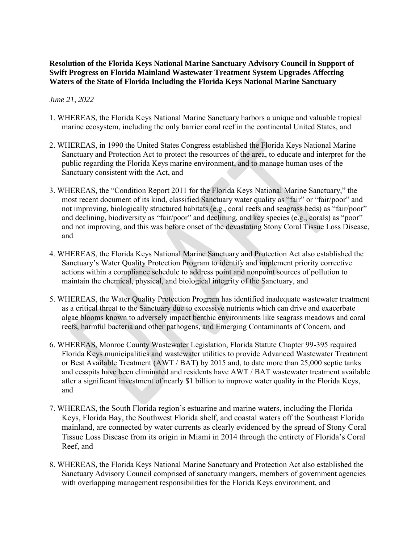## **Resolution of the Florida Keys National Marine Sanctuary Advisory Council in Support of Swift Progress on Florida Mainland Wastewater Treatment System Upgrades Affecting Waters of the State of Florida Including the Florida Keys National Marine Sanctuary**

## *June 21, 2022*

- 1. WHEREAS, the Florida Keys National Marine Sanctuary harbors a unique and valuable tropical marine ecosystem, including the only barrier coral reef in the continental United States, and
- 2. WHEREAS, in 1990 the United States Congress established the Florida Keys National Marine Sanctuary and Protection Act to protect the resources of the area, to educate and interpret for the public regarding the Florida Keys marine environment, and to manage human uses of the Sanctuary consistent with the Act, and
- 3. WHEREAS, the "Condition Report 2011 for the Florida Keys National Marine Sanctuary," the most recent document of its kind, classified Sanctuary water quality as "fair" or "fair/poor" and not improving, biologically structured habitats (e.g., coral reefs and seagrass beds) as "fair/poor" and declining, biodiversity as "fair/poor" and declining, and key species (e.g., corals) as "poor" and not improving, and this was before onset of the devastating Stony Coral Tissue Loss Disease, and
- 4. WHEREAS, the Florida Keys National Marine Sanctuary and Protection Act also established the Sanctuary's Water Quality Protection Program to identify and implement priority corrective actions within a compliance schedule to address point and nonpoint sources of pollution to maintain the chemical, physical, and biological integrity of the Sanctuary, and
- 5. WHEREAS, the Water Quality Protection Program has identified inadequate wastewater treatment as a critical threat to the Sanctuary due to excessive nutrients which can drive and exacerbate algae blooms known to adversely impact benthic environments like seagrass meadows and coral reefs, harmful bacteria and other pathogens, and Emerging Contaminants of Concern, and
- or Best Available Treatment (AWT / BAT) by 2015 and, to date more than 25,000 septic tanks and cesspits have been eliminated and residents have AWT / BAT wastewater treatment available 6. WHEREAS, Monroe County Wastewater Legislation, Florida Statute Chapter 99-395 required Florida Keys municipalities and wastewater utilities to provide Advanced Wastewater Treatment after a significant investment of nearly \$1 billion to improve water quality in the Florida Keys, and
- 7. WHEREAS, the South Florida region's estuarine and marine waters, including the Florida Keys, Florida Bay, the Southwest Florida shelf, and coastal waters off the Southeast Florida mainland, are connected by water currents as clearly evidenced by the spread of Stony Coral Tissue Loss Disease from its origin in Miami in 2014 through the entirety of Florida's Coral Reef, and
- 8. WHEREAS, the Florida Keys National Marine Sanctuary and Protection Act also established the Sanctuary Advisory Council comprised of sanctuary mangers, members of government agencies with overlapping management responsibilities for the Florida Keys environment, and